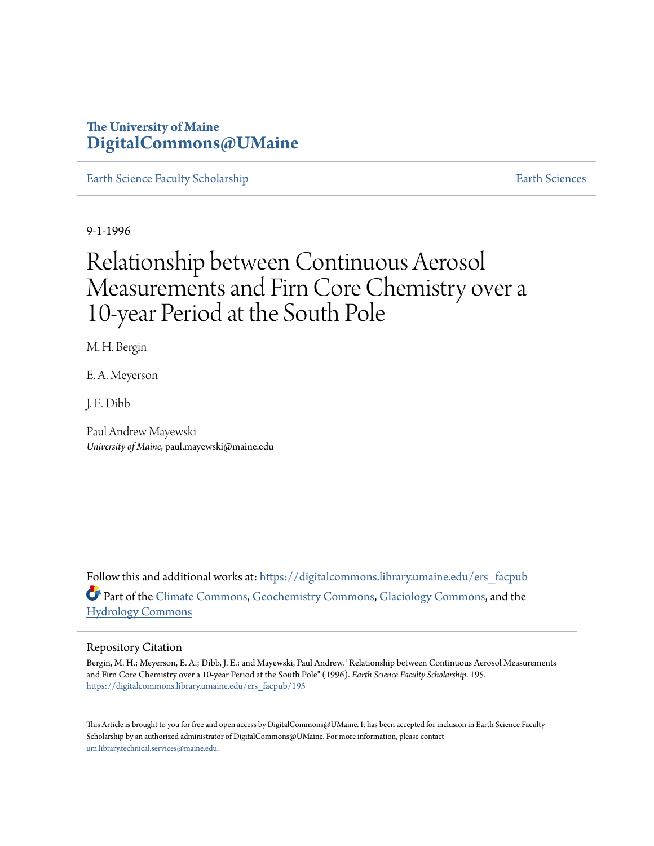# **The University of Maine [DigitalCommons@UMaine](https://digitalcommons.library.umaine.edu?utm_source=digitalcommons.library.umaine.edu%2Fers_facpub%2F195&utm_medium=PDF&utm_campaign=PDFCoverPages)**

[Earth Science Faculty Scholarship](https://digitalcommons.library.umaine.edu/ers_facpub?utm_source=digitalcommons.library.umaine.edu%2Fers_facpub%2F195&utm_medium=PDF&utm_campaign=PDFCoverPages) **[Earth Sciences](https://digitalcommons.library.umaine.edu/ers?utm_source=digitalcommons.library.umaine.edu%2Fers_facpub%2F195&utm_medium=PDF&utm_campaign=PDFCoverPages)** 

9-1-1996

# Relationship between Continuous Aerosol Measurements and Firn Core Chemistry over a 10‐year Period at the South Pole

M. H. Bergin

E. A. Meyerson

J. E. Dibb

Paul Andrew Mayewski *University of Maine*, paul.mayewski@maine.edu

Follow this and additional works at: [https://digitalcommons.library.umaine.edu/ers\\_facpub](https://digitalcommons.library.umaine.edu/ers_facpub?utm_source=digitalcommons.library.umaine.edu%2Fers_facpub%2F195&utm_medium=PDF&utm_campaign=PDFCoverPages) Part of the [Climate Commons,](http://network.bepress.com/hgg/discipline/188?utm_source=digitalcommons.library.umaine.edu%2Fers_facpub%2F195&utm_medium=PDF&utm_campaign=PDFCoverPages) [Geochemistry Commons,](http://network.bepress.com/hgg/discipline/157?utm_source=digitalcommons.library.umaine.edu%2Fers_facpub%2F195&utm_medium=PDF&utm_campaign=PDFCoverPages) [Glaciology Commons](http://network.bepress.com/hgg/discipline/159?utm_source=digitalcommons.library.umaine.edu%2Fers_facpub%2F195&utm_medium=PDF&utm_campaign=PDFCoverPages), and the [Hydrology Commons](http://network.bepress.com/hgg/discipline/1054?utm_source=digitalcommons.library.umaine.edu%2Fers_facpub%2F195&utm_medium=PDF&utm_campaign=PDFCoverPages)

### Repository Citation

Bergin, M. H.; Meyerson, E. A.; Dibb, J. E.; and Mayewski, Paul Andrew, "Relationship between Continuous Aerosol Measurements and Firn Core Chemistry over a 10‐year Period at the South Pole" (1996). *Earth Science Faculty Scholarship*. 195. [https://digitalcommons.library.umaine.edu/ers\\_facpub/195](https://digitalcommons.library.umaine.edu/ers_facpub/195?utm_source=digitalcommons.library.umaine.edu%2Fers_facpub%2F195&utm_medium=PDF&utm_campaign=PDFCoverPages)

This Article is brought to you for free and open access by DigitalCommons@UMaine. It has been accepted for inclusion in Earth Science Faculty Scholarship by an authorized administrator of DigitalCommons@UMaine. For more information, please contact [um.library.technical.services@maine.edu](mailto:um.library.technical.services@maine.edu).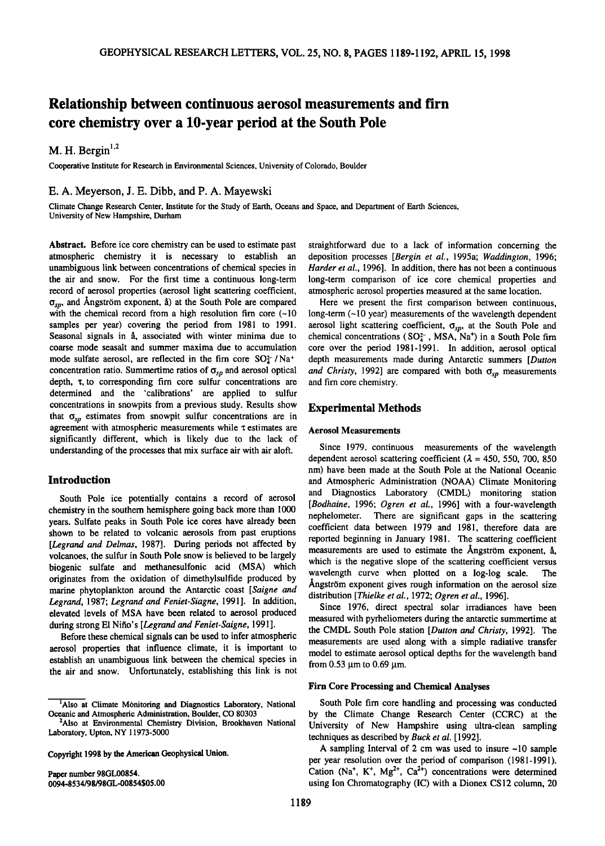# **Relationship between continuous aerosol measurements and firn core chemistry over a 10-year period at the South Pole**

M. H. Bergin<sup>1,2</sup>

**Cooperative Institute for Research in Environmental Sciences, University of Colorado, Boulder** 

# **E. A. Meyerson, J. E. Dibb, and P. A. Mayewski**

**Climate Change Research Center, Institute for the Study of Earth, Oceans and Space, and Department of Earth Sciences, University of New Hampshire, Durham** 

**Abstract. Before ice core chemistry can be used to estimate past atmospheric chemistry it is necessary to establish an unambiguous link between concentrations of chemical species in the air and snow. For the first time a continuous long-term record of aerosol properties (aerosol light scattering coefficient,**   $\sigma_{sp}$ , and Ångström exponent, å) at the South Pole are compared with the chemical record from a high resolution firn core (~10 **samples per year) covering the period from 1981 to 1991.**  Seasonal signals in  $\alpha$ , associated with winter minima due to **coarse mode seasalt and summer maxima due to accumulation**  mode sulfate aerosol, are reflected in the firn core SO<sub>4</sub><sup>-</sup>/Na<sup>+</sup> concentration ratio. Summertime ratios of  $\sigma_{sp}$  and aerosol optical **depth, x, to corresponding firn core sulfur concentrations are determined and the 'calibrations' are applied to sulfur concentrations in snowpits from a previous study. Results show**  that  $\sigma_{\rm v}$  estimates from snowpit sulfur concentrations are in **agreement with atmospheric measurements while x estimates are significantly different, which is likely due to the lack of understanding of the processes that mix surface air with air aloft.** 

# **Introduction**

**South Pole ice potentially contains a record of aerosol chemistry in the southern hemisphere going back more than 1000 years. Sulfate peaks in South Pole ice cores have already been shown to be related to volcanic aerosols from past eruptions**  [Legrand and Delmas, 1987]. During periods not affected by **volcanoes, the sulfur in South Pole snow is believed to be largely biogenic sulfate and methanesulfonic acid (MSA) which originates from the oxidation of dimethylsulfide produced by marine phytoplankton around the Antarctic coast [Saigne and Legrand, 1987; Legrand and Feniet-Siagne, 1991 ]. In addition, elevated levels of MSA have been related to aerosol produced during strong El Nifio's [Legrand and Feniet-Saigne, 1991 ].** 

**Before these chemical signals can be used to infer atmospheric aerosol properties that influence climate, it is important to establish an unambiguous link between the chemical species in the air and snow. Unfortunately, establishing this link is not** 

**Copyright 1998 by the American Geophysical Union.** 

**Paper number 98GL00854. 0094-8534/98/98GL-00854505.00** 

**straightforward due to a lack of information concerning the deposition processes [Bergin et al., 1995a; Waddington, 1996; Harder et al., 1996]. In addition, there has not been a continuous long-term comparison of ice core chemical properties and atmospheric aerosol properties measured at the same location.** 

**Here we present the first comparison between continuous, long-term (--10 year) measurements of the wavelength dependent**  aerosol light scattering coefficient,  $\sigma_{sp}$ , at the South Pole and chemical concentrations ( $SO<sub>4</sub><sup>2</sup>$ , MSA, Na<sup>+</sup>) in a South Pole firn **core over the period 1981-1991. In addition, aerosol optical depth measurements made during Antarctic summers [Dutton**  and Christy, 1992] are compared with both  $\sigma_{\rm SD}$  measurements **and firn core chemistry.** 

# **Experimental Methods**

#### **Aerosol Measurements**

**Since 1979, continuous measurements of the wavelength**  dependent aerosol scattering coefficient  $(\lambda = 450, 550, 700, 850)$ **nm) have been made at the South Pole at the National Oceanic and Atmospheric Administration (NOAA) Climate Monitoring and Diagnostics Laboratory (CMDL) monitoring station [Bodhaine, 1996; Ogren et al., 1996] with a four-wavelength nephelometer. There are significant gaps in the scattering coefficient data between 1979 and 1981, therefore data are reported beginning in January 1981. The scattering coefficient**  measurements are used to estimate the **Angström** exponent,  $\hat{a}$ , **which is the negative slope of the scattering coefficient versus**  wavelength curve when plotted on a log-log scale. Angström exponent gives rough information on the aerosol size **distribution [Thielke et al., 1972; Ogren et al., 1996].** 

**Since 1976, direct spectral solar irradiances have been measured with pyrheliometers during the antarctic summertime at the CMDL South Pole station [Dutton and Christy, 1992]. The measurements are used along with a simple radiative transfer**  model to estimate aerosol optical depths for the wavelength band **from 0.53 lam to 0.69 lam.** 

#### **Firn Core Processing and Chemical Analyses**

**South Pole firn core handling and processing was conducted by the Climate Change Research Center (CCRC) at the University of New Hampshire using ultra-clean sampling techniques as described by Buck et al. [1992].** 

**A sampling Interval of 2 cm was used to insure -10 sample**  per year resolution over the period of comparison (1981-1991). Cation (Na<sup>+</sup>, K<sup>+</sup>, Mg<sup>2+</sup>, Ca<sup>2+</sup>) concentrations were determined **using Ion Chromatography (IC) with a Dionex CS12 column, 20** 

<sup>&</sup>lt;sup>1</sup>Also at Climate Monitoring and Diagnostics Laboratory, National **Oceanic and Atmospheric Administration, Boulder, CO 80303** 

**<sup>2</sup>Also at Environmental Chemistry Division, Brookhaven National Laboratory, Upton, NY 11973-5000**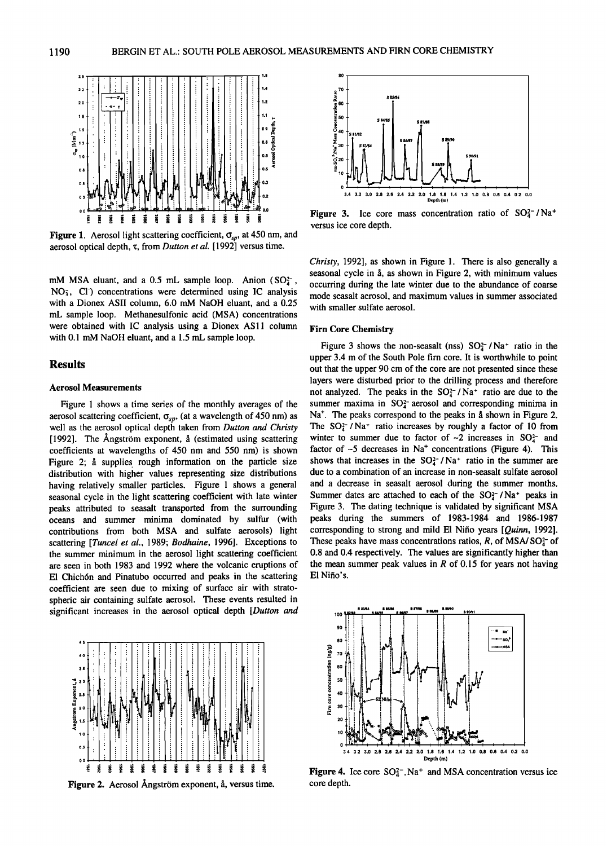

**Figure 1.** Aerosol light scattering coefficient,  $\sigma_{sp}$ , at 450 nm, and **aerosol optical depth, x, from Dutton et al. [1992] versus time.** 

mM MSA eluant, and a 0.5 mL sample loop. Anion (SO<sup>2</sup>-, **NO•, C1-) concentrations were determined using IC analysis with a Dionex ASII column, 6.0 mM NaOH eluant, and a 0.25 mL sample loop. Methanesulfonic acid (MSA) concentrations**  were obtained with IC analysis using a Dionex AS11 column **with 0.1 mM NaOH eluant, and a 1.5 mL sample loop.** 

# **Results**

#### **Aerosol Measurements**

**Figure 1 shows a time series of the monthly averages of the**  aerosol scattering coefficient,  $\sigma_{sp}$ , (at a wavelength of 450 nm) as **well as the aerosol optical depth taken from Dutton and Christy**  [1992]. The Angström exponent, å (estimated using scattering **coefficients at wavelengths of 450 nm and 550 nm) is shown**  Figure 2; å supplies rough information on the particle size **distribution with higher values representing size distributions having relatively smaller particles. Figure 1 shows a general seasonal cycle in the light scattering coefficient with late winter peaks attributed to seasalt transported from the surrounding oceans and summer minima dominated by sulfur (with contributions from both MSA and sulfate aerosols) light scattering [Tuncel et al., 1989; Bodhaine, 1996]. Exceptions to the summer minimum in the aerosol light scattering coefficient are seen in both 1983 and 1992 where the volcanic eruptions of E1 Chich6n and Pinatubo occurred and peaks in the scattering coefficient are seen due to mixing of surface air with stratospheric air containing sulfate aerosol. These events resulted in significant increases in the aerosol optical depth [Dutton and** 



**Figure 2.** Aerosol Ångström exponent, å, versus time.



Figure 3. Ice core mass concentration ratio of SO<sub>4</sub><sup>-</sup>/Na<sup>+</sup> **versus ice core depth.** 

**Christy, 1992], as shown in Figure 1. There is also generally a seasonal cycle in fi, as shown in Figure 2, with minimum values occurring during the late winter due to the abundance of coarse mode seasalt aerosol, and maximum values in summer associated with smaller sulfate aerosol.** 

#### **Firn Core Chemistry.**

Figure 3 shows the non-seasalt (nss)  $SO<sub>4</sub><sup>2</sup>$  /Na<sup>+</sup> ratio in the **upper 3.4 m of the South Pole firn core. It is worthwhile to point out that the upper 90 cm of the core are not presented since these layers were disturbed prior to the drilling process and therefore**  not analyzed. The peaks in the  $SO<sub>4</sub><sup>2</sup>$  / Na<sup>+</sup> ratio are due to the summer maxima in  $SO<sub>4</sub><sup>-</sup>$  aerosol and corresponding minima in Na<sup>+</sup>. The peaks correspond to the peaks in å shown in Figure 2. The  $SO<sub>4</sub><sup>-</sup>$  / Na<sup>+</sup> ratio increases by roughly a factor of 10 from winter to summer due to factor of  $\sim$ 2 increases in SO $^{2-}$  and factor of  $\sim$ 5 decreases in Na<sup>+</sup> concentrations (Figure 4). This shows that increases in the SO<sub>4</sub><sup>-</sup> /Na<sup>+</sup> ratio in the summer are **due to a combination of an increase in non-seasalt sulfate aerosol and a decrease in seasalt aerosol during the summer months.**  Summer dates are attached to each of the  $SO<sub>4</sub><sup>-</sup>$  /Na<sup>+</sup> peaks in **Figure 3. The dating technique is validated by significant MSA peaks during the summers of 1983-1984 and 1986-1987 corresponding to strong and mild E1 Nifio years [Quinn, 1992].**  These peaks have mass concentrations ratios,  $R$ , of MSA/SO $<sub>4</sub>$ - of</sub> **0.8 and 0.4 respective!y. The values are significantly higher than the mean summer peak values in R of 0.15 for years not having E1 Nifio's.** 



**Figure 4.** Ice core  $SO_4^{\text{-}}$ , Na<sup>+</sup> and MSA concentration versus ice **core depth.**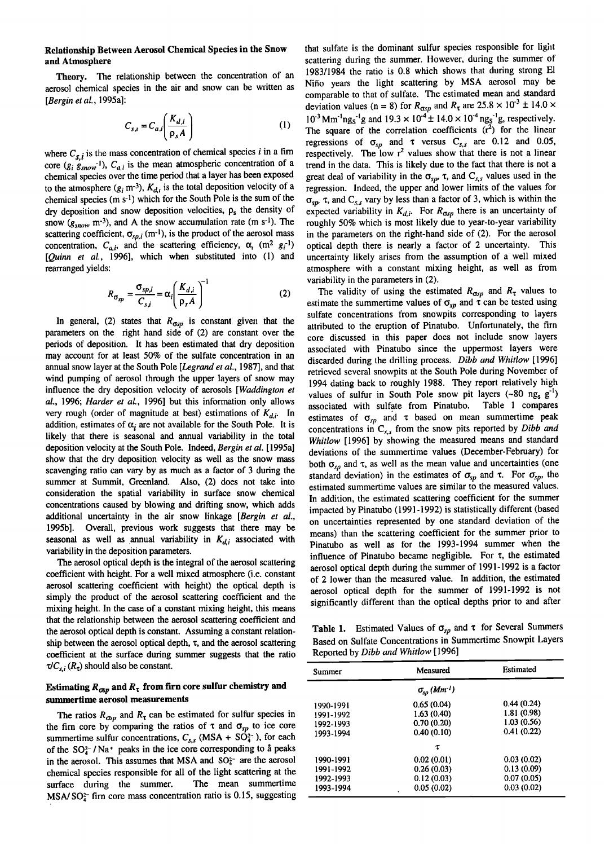# **Relationship Between Aerosol Chemical Species in the Snow and Atmosphere**

Theory. The relationship between the concentration of an **aerosol chemical species in the air and snow can be written as [Bergin et al., 1995a]:** 

$$
C_{s,i} = C_{a,i} \left( \frac{K_{d,i}}{\rho_s A} \right) \tag{1}
$$

where  $C_{s,i}$  is the mass concentration of chemical species *i* in a firm core  $(g_i \ g_{snow}^{-1})$ ,  $C_{a,i}$  is the mean atmospheric concentration of a **chemical species over the time period that a layer has been exposed**  to the atmosphere  $(g_i \text{ m}^{-3})$ ,  $K_{d,i}$  is the total deposition velocity of a chemical species (m s<sup>-1</sup>) which for the South Pole is the sum of the dry deposition and snow deposition velocities,  $\rho_s$  the density of snow ( $g_{\text{snow}}$  m<sup>-3</sup>), and A the snow accumulation rate (m s<sup>-1</sup>). The scattering coefficient,  $\sigma_{sp,i}$  (m<sup>-1</sup>), is the product of the aerosol mass concentration,  $C_{a,i}$ , and the scattering efficiency,  $\alpha_i$  (m<sup>2</sup>  $g_i$ <sup>-1</sup>) **[Quinn et al., 1996], which when substituted into (1) and rearranged yields:** 

$$
R_{\sigma_{sp}} = \frac{\sigma_{sp,i}}{C_{s,i}} = \alpha_i \left(\frac{K_{d,i}}{\rho_s A}\right)^{-1}
$$

In general, (2) states that  $R_{\alpha sp}$  is constant given that the **parameters on the right hand side of (2) are constant over the periods of deposition. It has been estimated that dry deposition may account for at least 50% of the sulfate concentration in an annual snow layer at the South Pole [Legrand et al., 1987], and that wind pumping of aerosol through the upper layers of snow may influence the dry deposition velocity of aerosols [Waddington et al., 1996; Harder et al., 1996] but this information only allows**  very rough (order of magnitude at best) estimations of  $K_{d,i}$ . In addition, estimates of  $\alpha_i$  are not available for the South Pole. It is **likely that there is seasonal and annual variability in the total deposition velocity at the South Pole. Indeed, Bergin et al. [ 1995a] show that the dry deposition velocity as well as the snow mass scavenging ratio can vary by as much as a factor of 3 during the summer at Summit, Greenland. Also, (2) does not take into consideration the spatial variability in surface snow chemical concentrations caused by blowing and drifting snow, which adds additional uncertainty in the air snow linkage [Bergin et al., 1995b]. Overall, previous work suggests that there may be**  seasonal as well as annual variability in  $K_{d,i}$  associated with **variability in the deposition parameters.** 

**The aerosol optical depth is the integral of the aerosol scattering coefficient with height. For a well mixed atmosphere (i.e. constant aerosol scattering coefficient with height) the optical depth is simply the product of the aerosol scattering coefficient and the mixing height. In the case of a constant mixing height, this means that the relationship between the aerosol scattering coefficient and the aerosol optical depth is constant. Assuming a constant relationship between the aerosol optical depth, x, and the aerosol scattering coefficient at the surface during summer suggests that the ratio**   $\tau/C_{s,i}$  ( $R_{\tau}$ ) should also be constant.

# Estimating  $R_{\alpha p}$  and  $R_{\tau}$  from firn core sulfur chemistry and **summertime aerosol measurements**

The ratios  $R_{\alpha}$  and  $R_{\tau}$  can be estimated for sulfur species in the firn core by comparing the ratios of  $\tau$  and  $\sigma_{sp}$  to ice core summertime sulfur concentrations,  $C_{s,s}$  (MSA +  $S\overline{O}_4^{2-}$ ), for each of the  $SO_4^{-1}/Na^+$  peaks in the ice core corresponding to a peaks in the aerosol. This assumes that MSA and  $SO<sub>4</sub><sup>-</sup>$  are the aerosol chemical species responsible for all of the light scattering at the surface during the summer. The mean summertime surface during the summer. **MSA/SO**<sup>2-</sup> firn core mass concentration ratio is 0.15, suggesting **that sulfate is the dominant sulfur species responsible for light scattering during the summer. However, during the summer of 1983/1984 the ratio is 0.8 which shows that during strong El Nifio years the light scattering by MSA aerosol may be comparable to that of sulfate. The estimated mean and standard**  deviation values (n = 8) for  $R_{\sigma sp}$  and  $R_{\tau}$  are 25.8  $\times$  10<sup>-3</sup>  $\pm$  14.0  $\times$  $10^{-3}$  Mm<sup>-1</sup>ng<sub>s</sub><sup>-1</sup>g and  $19.3 \times 10^{-4}$   $\pm 14.0 \times 10^{-4}$  ng<sub>s</sub><sup>-1</sup>g, respectively. The square of the correlation coefficients  $(r^2)$  for the linear **regressions** of  $\sigma_{sp}$  and  $\tau$  versus  $C_{s,s}$  are 0.12 and 0.05, respectively. The low  $r^2$  values show that there is not a linear **trend in the data. This is likely due to the fact that there is not a**  great deal of variability in the  $\sigma_{sp}$ ,  $\tau$ , and  $C_{s,s}$  values used in the regression. Indeed, the upper and lower limits of the values for  $\sigma_{\rm cm}$ ,  $\tau$ , and  $C_{\rm s,s}$  vary by less than a factor of 3, which is within the expected variability in  $K_{d,i}$ . For  $R_{\alpha\beta}$  there is an uncertainty of **roughly 50% which is most likely due to year-to-year variability in the parameters on the right-hand side of (2). For the aerosol optical depth there is nearly a factor of 2 uncertainty. This uncertainty likely arises from the assumption of a well mixed atmosphere with a constant mixing height, as well as from variability in the parameters in (2).** 

The validity of using the estimated  $R_{\sigma sp}$  and  $R_{\tau}$  values to estimate the summertime values of  $\sigma_{sp}$  and  $\tau$  can be tested using sulfate concentrations from snowpits corresponding to layers **attributed to the eruption of Pinatubo. Unfortunately, the firn core discussed in this paper does not include snow layers associated with Pinatubo since the uppermost layers were discarded during the drilling process. Dibb and Whitlow [1996] retrieved several snowpits at the South Pole during November of 1994 dating back to roughly 1988. They report relatively high**  values of sulfur in South Pole snow pit layers  $(-80 \text{ ng}_s g^{-1})$ **associated with sulfate from Pinatubo. Table 1 compares**  estimates of  $\sigma_{sp}$  and  $\tau$  based on mean summertime peak concentrations in  $C_{s,s}$  from the snow pits reported by *Dibb and* **Whitlow [1996] by showing the measured means and standard deviations of the summertime values (December-February) for**  both  $\sigma_{sp}$  and  $\tau$ , as well as the mean value and uncertainties (one standard deviation) in the estimates of  $\sigma_{sp}$  and  $\tau$ . For  $\sigma_{sp}$ , the **estimated summertime values are similar to the measured values.**  In addition, the estimated scattering coefficient for the summer **impacted by Pinatubo (1991-1992) is statistically different (based on uncertainties represented by one standard deviation of the means) than the scattering coefficient for the summer prior to Pinatubo as well as for the 1993-1994 summer when the influence of Pinatubo became negligible. For x, the estimated aerosol optical depth during the summer of 1991-1992 is a factor of 2 lower than the measured value. In addition, the estimated aerosol optical depth for the summer of 1991-1992 is not**  significantly different than the optical depths prior to and after

**Table 1.** Estimated Values of  $\sigma_{sp}$  and  $\tau$  for Several Summers **Based on Sulfate Concentrations in Summertime Snowpit Layers Reported by Dibb and Whitlow [1996]** 

| Summer    | Measured                          | Estimated   |
|-----------|-----------------------------------|-------------|
|           | $\sigma_{sp}\left(Mm^{-1}\right)$ |             |
| 1990-1991 | 0.65(0.04)                        | 0.44(0.24)  |
| 1991-1992 | 1.63(0.40)                        | 1.81 (0.98) |
| 1992-1993 | 0.70(0.20)                        | 1.03(0.56)  |
| 1993-1994 | 0.40(0.10)                        | 0.41(0.22)  |
|           | τ                                 |             |
| 1990-1991 | 0.02(0.01)                        | 0.03(0.02)  |
| 1991-1992 | 0.26(0.03)                        | 0.13(0.09)  |
| 1992-1993 | 0.12(0.03)                        | 0.07(0.05)  |
| 1993-1994 | 0.05(0.02)                        | 0.03(0.02)  |